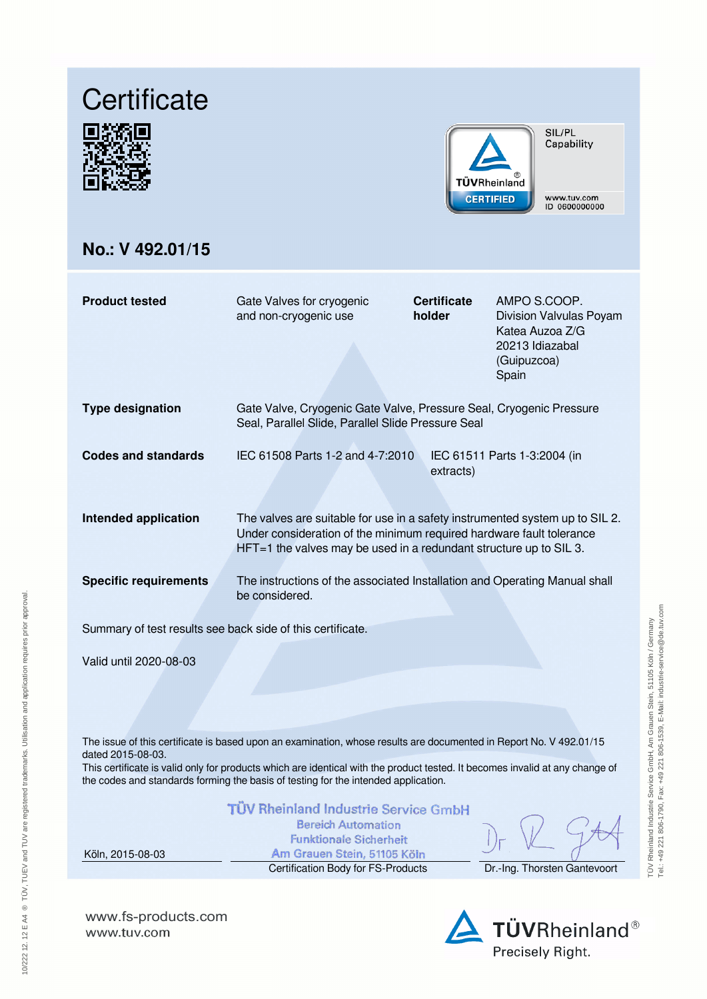# **Certificate**





SIL/PL Capability

www.tuv.com ID 0600000000

# **No.: V 492.01/15**

| <b>Product tested</b>                                      | Gate Valves for cryogenic<br>and non-cryogenic use                                                                                                                                                                           | <b>Certificate</b><br>holder | AMPO S.COOP.<br>Division Valvulas Poyam<br>Katea Auzoa Z/G<br>20213 Idiazabal<br>(Guipuzcoa)<br>Spain |  |  |  |
|------------------------------------------------------------|------------------------------------------------------------------------------------------------------------------------------------------------------------------------------------------------------------------------------|------------------------------|-------------------------------------------------------------------------------------------------------|--|--|--|
| <b>Type designation</b>                                    | Gate Valve, Cryogenic Gate Valve, Pressure Seal, Cryogenic Pressure<br>Seal, Parallel Slide, Parallel Slide Pressure Seal                                                                                                    |                              |                                                                                                       |  |  |  |
| Codes and standards                                        | IEC 61508 Parts 1-2 and 4-7:2010                                                                                                                                                                                             | extracts)                    | IEC 61511 Parts 1-3:2004 (in                                                                          |  |  |  |
| <b>Intended application</b>                                | The valves are suitable for use in a safety instrumented system up to SIL 2.<br>Under consideration of the minimum required hardware fault tolerance<br>$HFT=1$ the valves may be used in a redundant structure up to SIL 3. |                              |                                                                                                       |  |  |  |
| <b>Specific requirements</b>                               | The instructions of the associated Installation and Operating Manual shall<br>be considered.                                                                                                                                 |                              |                                                                                                       |  |  |  |
| Summary of test results see back side of this certificate. |                                                                                                                                                                                                                              |                              |                                                                                                       |  |  |  |
| Valid until 2020-08-03                                     |                                                                                                                                                                                                                              |                              |                                                                                                       |  |  |  |

The issue of this certificate is based upon an examination, whose results are documented in Report No. V 492.01/15 dated 2015-08-03.

This certificate is valid only for products which are identical with the product tested. It becomes invalid at any change of the codes and standards forming the basis of testing for the intended application.

|                  | TÜV Rheinland Industrie Service GmbH<br><b>Bereich Automation</b><br><b>Funktionale Sicherheit</b> |                              |
|------------------|----------------------------------------------------------------------------------------------------|------------------------------|
| Köln. 2015-08-03 | Am Grauen Stein, 51105 Köln                                                                        |                              |
|                  | Certification Body for FS-Products                                                                 | Dr.-Ing. Thorsten Gantevoort |

**www.fs-products.com** www.tuv.com

Precisely Right.

TÜV Rheinland Industrie Service GmbH, Am Grauen Stein, 51105 Köln / Germany<br>Tel:. +49 221 806-1790, Fax: +49 221 806-1539, E-Mali: industrie-service@de.tuv.com TÜV Rheinland Industrie Service GmbH, Am Grauen Stein, 51105 Köln / Germany

Tel.: +49 221 806-1790, Fax: +49 221 806-1539, E-Mail: industrie-service@de.tuv.com